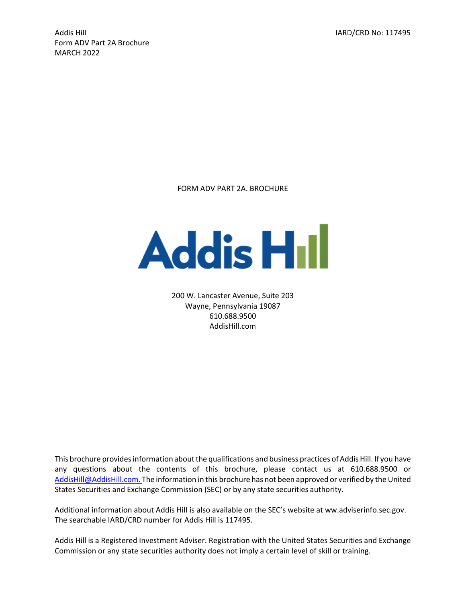Addis Hill IARD/CRD No: 117495 Form ADV Part 2A Brochure MARCH 2022

FORM ADV PART 2A. BROCHURE



200 W. Lancaster Avenue, Suite 203 Wayne, Pennsylvania 19087 610.688.9500 AddisHill.com

This brochure provides information about the qualifications and business practices of Addis Hill. If you have any questions about the contents of this brochure, please contact us at 610.688.9500 or AddisHill@AddisHill.com. The information in this brochure has not been approved or verified by the United States Securities and Exchange Commission (SEC) or by any state securities authority.

Additional information about Addis Hill is also available on the SEC's website at ww.adviserinfo.sec.gov. The searchable IARD/CRD number for Addis Hill is 117495.

Addis Hill is a Registered Investment Adviser. Registration with the United States Securities and Exchange Commission or any state securities authority does not imply a certain level of skill or training.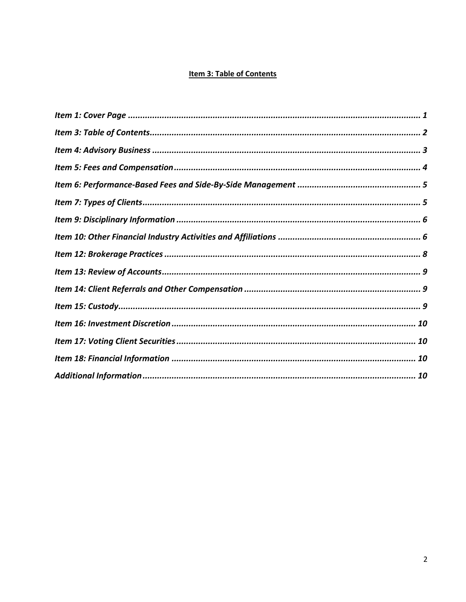# Item 3: Table of Contents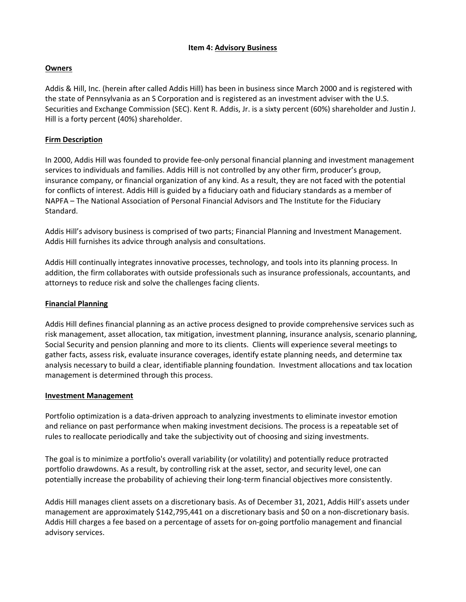## **Item 4: Advisory Business**

## **Owners**

Addis & Hill, Inc. (herein after called Addis Hill) has been in business since March 2000 and is registered with the state of Pennsylvania as an S Corporation and is registered as an investment adviser with the U.S. Securities and Exchange Commission (SEC). Kent R. Addis, Jr. is a sixty percent (60%) shareholder and Justin J. Hill is a forty percent (40%) shareholder.

## **Firm Description**

In 2000, Addis Hill was founded to provide fee‐only personal financial planning and investment management services to individuals and families. Addis Hill is not controlled by any other firm, producer's group, insurance company, or financial organization of any kind. As a result, they are not faced with the potential for conflicts of interest. Addis Hill is guided by a fiduciary oath and fiduciary standards as a member of NAPFA – The National Association of Personal Financial Advisors and The Institute for the Fiduciary Standard.

Addis Hill's advisory business is comprised of two parts; Financial Planning and Investment Management. Addis Hill furnishes its advice through analysis and consultations.

Addis Hill continually integrates innovative processes, technology, and tools into its planning process. In addition, the firm collaborates with outside professionals such as insurance professionals, accountants, and attorneys to reduce risk and solve the challenges facing clients.

## **Financial Planning**

Addis Hill defines financial planning as an active process designed to provide comprehensive services such as risk management, asset allocation, tax mitigation, investment planning, insurance analysis, scenario planning, Social Security and pension planning and more to its clients. Clients will experience several meetings to gather facts, assess risk, evaluate insurance coverages, identify estate planning needs, and determine tax analysis necessary to build a clear, identifiable planning foundation. Investment allocations and tax location management is determined through this process.

## **Investment Management**

Portfolio optimization is a data‐driven approach to analyzing investments to eliminate investor emotion and reliance on past performance when making investment decisions. The process is a repeatable set of rules to reallocate periodically and take the subjectivity out of choosing and sizing investments.

The goal is to minimize a portfolio's overall variability (or volatility) and potentially reduce protracted portfolio drawdowns. As a result, by controlling risk at the asset, sector, and security level, one can potentially increase the probability of achieving their long‐term financial objectives more consistently.

Addis Hill manages client assets on a discretionary basis. As of December 31, 2021, Addis Hill's assets under management are approximately \$142,795,441 on a discretionary basis and \$0 on a non‐discretionary basis. Addis Hill charges a fee based on a percentage of assets for on‐going portfolio management and financial advisory services.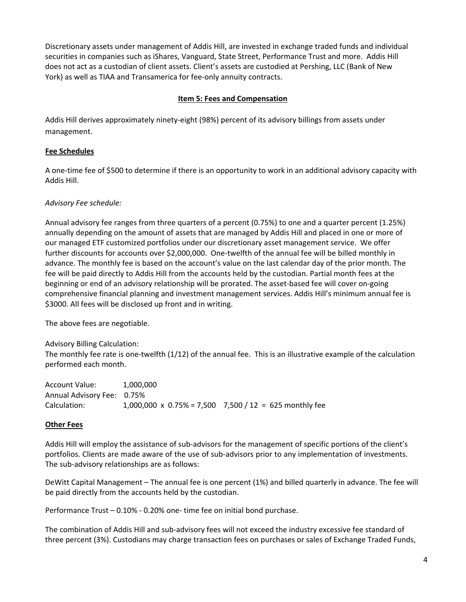Discretionary assets under management of Addis Hill, are invested in exchange traded funds and individual securities in companies such as iShares, Vanguard, State Street, Performance Trust and more. Addis Hill does not act as a custodian of client assets. Client's assets are custodied at Pershing, LLC (Bank of New York) as well as TIAA and Transamerica for fee‐only annuity contracts.

## **Item 5: Fees and Compensation**

Addis Hill derives approximately ninety‐eight (98%) percent of its advisory billings from assets under management.

## **Fee Schedules**

A one‐time fee of \$500 to determine if there is an opportunity to work in an additional advisory capacity with Addis Hill.

## *Advisory Fee schedule:*

Annual advisory fee ranges from three quarters of a percent (0.75%) to one and a quarter percent (1.25%) annually depending on the amount of assets that are managed by Addis Hill and placed in one or more of our managed ETF customized portfolios under our discretionary asset management service. We offer further discounts for accounts over \$2,000,000. One-twelfth of the annual fee will be billed monthly in advance. The monthly fee is based on the account's value on the last calendar day of the prior month. The fee will be paid directly to Addis Hill from the accounts held by the custodian. Partial month fees at the beginning or end of an advisory relationship will be prorated. The asset-based fee will cover on-going comprehensive financial planning and investment management services. Addis Hill's minimum annual fee is \$3000. All fees will be disclosed up front and in writing.

The above fees are negotiable.

Advisory Billing Calculation: The monthly fee rate is one‐twelfth (1/12) of the annual fee. This is an illustrative example of the calculation performed each month.

Account Value: 1,000,000 Annual Advisory Fee: 0.75% Calculation:  $1,000,000 \times 0.75\% = 7,500 \times 7,500 / 12 = 625$  monthly fee

## **Other Fees**

Addis Hill will employ the assistance of sub-advisors for the management of specific portions of the client's portfolios. Clients are made aware of the use of sub‐advisors prior to any implementation of investments. The sub‐advisory relationships are as follows:

DeWitt Capital Management – The annual fee is one percent (1%) and billed quarterly in advance. The fee will be paid directly from the accounts held by the custodian.

Performance Trust – 0.10% ‐ 0.20% one‐ time fee on initial bond purchase.

The combination of Addis Hill and sub‐advisory fees will not exceed the industry excessive fee standard of three percent (3%). Custodians may charge transaction fees on purchases or sales of Exchange Traded Funds,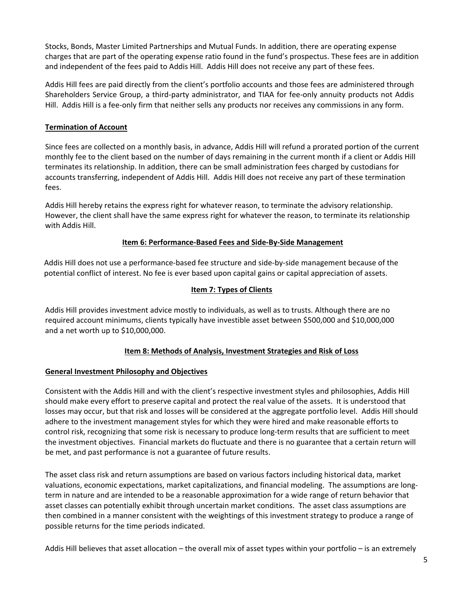Stocks, Bonds, Master Limited Partnerships and Mutual Funds. In addition, there are operating expense charges that are part of the operating expense ratio found in the fund's prospectus. These fees are in addition and independent of the fees paid to Addis Hill. Addis Hill does not receive any part of these fees.

Addis Hill fees are paid directly from the client's portfolio accounts and those fees are administered through Shareholders Service Group, a third‐party administrator, and TIAA for fee‐only annuity products not Addis Hill. Addis Hill is a fee‐only firm that neither sells any products nor receives any commissions in any form.

## **Termination of Account**

Since fees are collected on a monthly basis, in advance, Addis Hill will refund a prorated portion of the current monthly fee to the client based on the number of days remaining in the current month if a client or Addis Hill terminates its relationship. In addition, there can be small administration fees charged by custodians for accounts transferring, independent of Addis Hill. Addis Hill does not receive any part of these termination fees.

Addis Hill hereby retains the express right for whatever reason, to terminate the advisory relationship. However, the client shall have the same express right for whatever the reason, to terminate its relationship with Addis Hill.

## **Item 6: Performance‐Based Fees and Side‐By‐Side Management**

Addis Hill does not use a performance‐based fee structure and side‐by‐side management because of the potential conflict of interest. No fee is ever based upon capital gains or capital appreciation of assets.

## **Item 7: Types of Clients**

Addis Hill provides investment advice mostly to individuals, as well as to trusts. Although there are no required account minimums, clients typically have investible asset between \$500,000 and \$10,000,000 and a net worth up to \$10,000,000.

## **Item 8: Methods of Analysis, Investment Strategies and Risk of Loss**

## **General Investment Philosophy and Objectives**

Consistent with the Addis Hill and with the client's respective investment styles and philosophies, Addis Hill should make every effort to preserve capital and protect the real value of the assets. It is understood that losses may occur, but that risk and losses will be considered at the aggregate portfolio level. Addis Hill should adhere to the investment management styles for which they were hired and make reasonable efforts to control risk, recognizing that some risk is necessary to produce long‐term results that are sufficient to meet the investment objectives. Financial markets do fluctuate and there is no guarantee that a certain return will be met, and past performance is not a guarantee of future results.

The asset class risk and return assumptions are based on various factors including historical data, market valuations, economic expectations, market capitalizations, and financial modeling. The assumptions are long‐ term in nature and are intended to be a reasonable approximation for a wide range of return behavior that asset classes can potentially exhibit through uncertain market conditions. The asset class assumptions are then combined in a manner consistent with the weightings of this investment strategy to produce a range of possible returns for the time periods indicated.

Addis Hill believes that asset allocation – the overall mix of asset types within your portfolio – is an extremely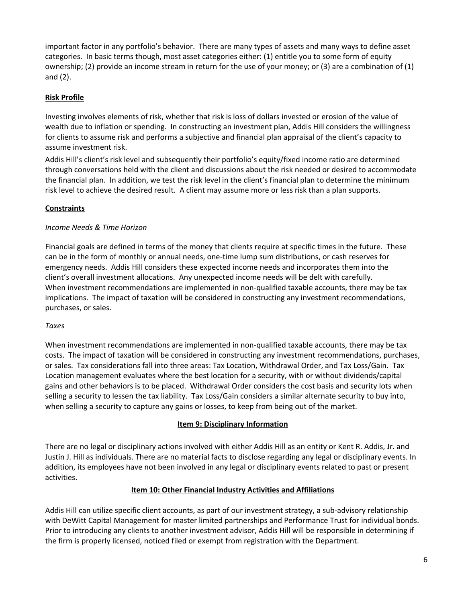important factor in any portfolio's behavior. There are many types of assets and many ways to define asset categories. In basic terms though, most asset categories either: (1) entitle you to some form of equity ownership; (2) provide an income stream in return for the use of your money; or (3) are a combination of (1) and (2).

# **Risk Profile**

Investing involves elements of risk, whether that risk is loss of dollars invested or erosion of the value of wealth due to inflation or spending. In constructing an investment plan, Addis Hill considers the willingness for clients to assume risk and performs a subjective and financial plan appraisal of the client's capacity to assume investment risk.

Addis Hill's client's risk level and subsequently their portfolio's equity/fixed income ratio are determined through conversations held with the client and discussions about the risk needed or desired to accommodate the financial plan. In addition, we test the risk level in the client's financial plan to determine the minimum risk level to achieve the desired result. A client may assume more or less risk than a plan supports.

## **Constraints**

## *Income Needs & Time Horizon*

Financial goals are defined in terms of the money that clients require at specific times in the future. These can be in the form of monthly or annual needs, one‐time lump sum distributions, or cash reserves for emergency needs. Addis Hill considers these expected income needs and incorporates them into the client's overall investment allocations. Any unexpected income needs will be delt with carefully. When investment recommendations are implemented in non-qualified taxable accounts, there may be tax implications. The impact of taxation will be considered in constructing any investment recommendations, purchases, or sales.

## *Taxes*

When investment recommendations are implemented in non-qualified taxable accounts, there may be tax costs. The impact of taxation will be considered in constructing any investment recommendations, purchases, or sales. Tax considerations fall into three areas: Tax Location, Withdrawal Order, and Tax Loss/Gain. Tax Location management evaluates where the best location for a security, with or without dividends/capital gains and other behaviors is to be placed. Withdrawal Order considers the cost basis and security lots when selling a security to lessen the tax liability. Tax Loss/Gain considers a similar alternate security to buy into, when selling a security to capture any gains or losses, to keep from being out of the market.

## **Item 9: Disciplinary Information**

There are no legal or disciplinary actions involved with either Addis Hill as an entity or Kent R. Addis, Jr. and Justin J. Hill as individuals. There are no material facts to disclose regarding any legal or disciplinary events. In addition, its employees have not been involved in any legal or disciplinary events related to past or present activities.

## **Item 10: Other Financial Industry Activities and Affiliations**

Addis Hill can utilize specific client accounts, as part of our investment strategy, a sub‐advisory relationship with DeWitt Capital Management for master limited partnerships and Performance Trust for individual bonds. Prior to introducing any clients to another investment advisor, Addis Hill will be responsible in determining if the firm is properly licensed, noticed filed or exempt from registration with the Department.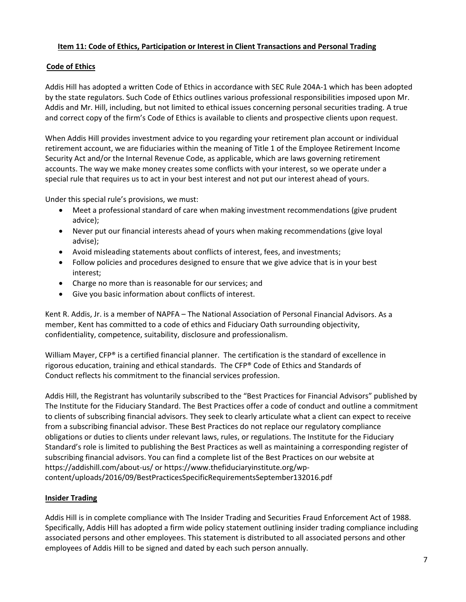## **Item 11: Code of Ethics, Participation or Interest in Client Transactions and Personal Trading**

# **Code of Ethics**

Addis Hill has adopted a written Code of Ethics in accordance with SEC Rule 204A‐1 which has been adopted by the state regulators. Such Code of Ethics outlines various professional responsibilities imposed upon Mr. Addis and Mr. Hill, including, but not limited to ethical issues concerning personal securities trading. A true and correct copy of the firm's Code of Ethics is available to clients and prospective clients upon request.

When Addis Hill provides investment advice to you regarding your retirement plan account or individual retirement account, we are fiduciaries within the meaning of Title 1 of the Employee Retirement Income Security Act and/or the Internal Revenue Code, as applicable, which are laws governing retirement accounts. The way we make money creates some conflicts with your interest, so we operate under a special rule that requires us to act in your best interest and not put our interest ahead of yours.

Under this special rule's provisions, we must:

- Meet a professional standard of care when making investment recommendations (give prudent advice);
- Never put our financial interests ahead of yours when making recommendations (give loyal advise);
- Avoid misleading statements about conflicts of interest, fees, and investments;
- Follow policies and procedures designed to ensure that we give advice that is in your best interest;
- Charge no more than is reasonable for our services; and
- Give you basic information about conflicts of interest.

Kent R. Addis, Jr. is a member of NAPFA – The National Association of Personal Financial Advisors. As a member, Kent has committed to a code of ethics and Fiduciary Oath surrounding objectivity, confidentiality, competence, suitability, disclosure and professionalism.

William Mayer, CFP® is a certified financial planner. The certification is the standard of excellence in rigorous education, training and ethical standards. The CFP® Code of Ethics and Standards of Conduct reflects his commitment to the financial services profession.

Addis Hill, the Registrant has voluntarily subscribed to the "Best Practices for Financial Advisors" published by The Institute for the Fiduciary Standard. The Best Practices offer a code of conduct and outline a commitment to clients of subscribing financial advisors. They seek to clearly articulate what a client can expect to receive from a subscribing financial advisor. These Best Practices do not replace our regulatory compliance obligations or duties to clients under relevant laws, rules, or regulations. The Institute for the Fiduciary Standard's role is limited to publishing the Best Practices as well as maintaining a corresponding register of subscribing financial advisors. You can find a complete list of the Best Practices on our website at https://addishill.com/about‐us/ or https://www.thefiduciaryinstitute.org/wp‐ content/uploads/2016/09/BestPracticesSpecificRequirementsSeptember132016.pdf

## **Insider Trading**

Addis Hill is in complete compliance with The Insider Trading and Securities Fraud Enforcement Act of 1988. Specifically, Addis Hill has adopted a firm wide policy statement outlining insider trading compliance including associated persons and other employees. This statement is distributed to all associated persons and other employees of Addis Hill to be signed and dated by each such person annually.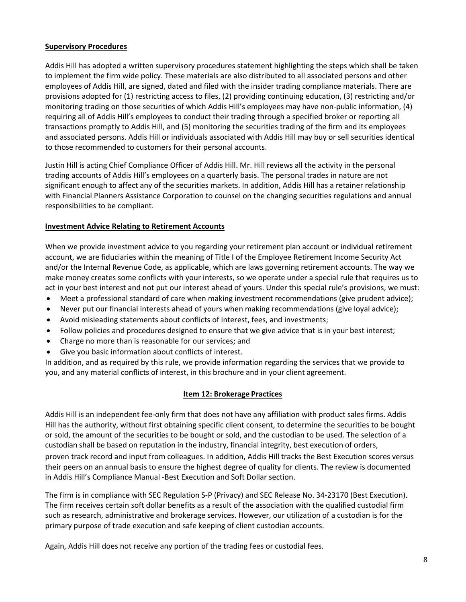## **Supervisory Procedures**

Addis Hill has adopted a written supervisory procedures statement highlighting the steps which shall be taken to implement the firm wide policy. These materials are also distributed to all associated persons and other employees of Addis Hill, are signed, dated and filed with the insider trading compliance materials. There are provisions adopted for (1) restricting access to files, (2) providing continuing education, (3) restricting and/or monitoring trading on those securities of which Addis Hill's employees may have non‐public information, (4) requiring all of Addis Hill's employees to conduct their trading through a specified broker or reporting all transactions promptly to Addis Hill, and (5) monitoring the securities trading of the firm and its employees and associated persons. Addis Hill or individuals associated with Addis Hill may buy or sell securities identical to those recommended to customers for their personal accounts.

Justin Hill is acting Chief Compliance Officer of Addis Hill. Mr. Hill reviews all the activity in the personal trading accounts of Addis Hill's employees on a quarterly basis. The personal trades in nature are not significant enough to affect any of the securities markets. In addition, Addis Hill has a retainer relationship with Financial Planners Assistance Corporation to counsel on the changing securities regulations and annual responsibilities to be compliant.

## **Investment Advice Relating to Retirement Accounts**

When we provide investment advice to you regarding your retirement plan account or individual retirement account, we are fiduciaries within the meaning of Title I of the Employee Retirement Income Security Act and/or the Internal Revenue Code, as applicable, which are laws governing retirement accounts. The way we make money creates some conflicts with your interests, so we operate under a special rule that requires us to act in your best interest and not put our interest ahead of yours. Under this special rule's provisions, we must:

- Meet a professional standard of care when making investment recommendations (give prudent advice);
- Never put our financial interests ahead of yours when making recommendations (give loyal advice);
- Avoid misleading statements about conflicts of interest, fees, and investments;
- Follow policies and procedures designed to ensure that we give advice that is in your best interest;
- Charge no more than is reasonable for our services; and
- Give you basic information about conflicts of interest.

In addition, and as required by this rule, we provide information regarding the services that we provide to you, and any material conflicts of interest, in this brochure and in your client agreement.

## **Item 12: Brokerage Practices**

Addis Hill is an independent fee‐only firm that does not have any affiliation with product sales firms. Addis Hill has the authority, without first obtaining specific client consent, to determine the securities to be bought or sold, the amount of the securities to be bought or sold, and the custodian to be used. The selection of a custodian shall be based on reputation in the industry, financial integrity, best execution of orders, proven track record and input from colleagues. In addition, Addis Hill tracks the Best Execution scores versus their peers on an annual basis to ensure the highest degree of quality for clients. The review is documented in Addis Hill's Compliance Manual ‐Best Execution and Soft Dollar section.

The firm is in compliance with SEC Regulation S‐P (Privacy) and SEC Release No. 34‐23170 (Best Execution). The firm receives certain soft dollar benefits as a result of the association with the qualified custodial firm such as research, administrative and brokerage services. However, our utilization of a custodian is for the primary purpose of trade execution and safe keeping of client custodian accounts.

Again, Addis Hill does not receive any portion of the trading fees or custodial fees.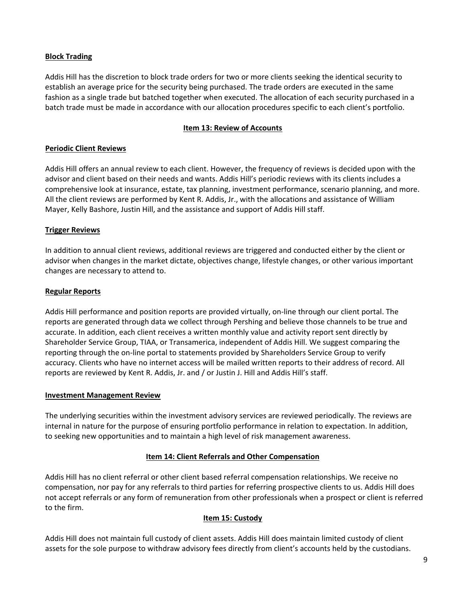## **Block Trading**

Addis Hill has the discretion to block trade orders for two or more clients seeking the identical security to establish an average price for the security being purchased. The trade orders are executed in the same fashion as a single trade but batched together when executed. The allocation of each security purchased in a batch trade must be made in accordance with our allocation procedures specific to each client's portfolio.

## **Item 13: Review of Accounts**

## **Periodic Client Reviews**

Addis Hill offers an annual review to each client. However, the frequency of reviews is decided upon with the advisor and client based on their needs and wants. Addis Hill's periodic reviews with its clients includes a comprehensive look at insurance, estate, tax planning, investment performance, scenario planning, and more. All the client reviews are performed by Kent R. Addis, Jr., with the allocations and assistance of William Mayer, Kelly Bashore, Justin Hill, and the assistance and support of Addis Hill staff.

## **Trigger Reviews**

In addition to annual client reviews, additional reviews are triggered and conducted either by the client or advisor when changes in the market dictate, objectives change, lifestyle changes, or other various important changes are necessary to attend to.

## **Regular Reports**

Addis Hill performance and position reports are provided virtually, on‐line through our client portal. The reports are generated through data we collect through Pershing and believe those channels to be true and accurate. In addition, each client receives a written monthly value and activity report sent directly by Shareholder Service Group, TIAA, or Transamerica, independent of Addis Hill. We suggest comparing the reporting through the on‐line portal to statements provided by Shareholders Service Group to verify accuracy. Clients who have no internet access will be mailed written reports to their address of record. All reports are reviewed by Kent R. Addis, Jr. and / or Justin J. Hill and Addis Hill's staff.

## **Investment Management Review**

The underlying securities within the investment advisory services are reviewed periodically. The reviews are internal in nature for the purpose of ensuring portfolio performance in relation to expectation. In addition, to seeking new opportunities and to maintain a high level of risk management awareness.

## **Item 14: Client Referrals and Other Compensation**

Addis Hill has no client referral or other client based referral compensation relationships. We receive no compensation, nor pay for any referrals to third parties for referring prospective clients to us. Addis Hill does not accept referrals or any form of remuneration from other professionals when a prospect or client is referred to the firm.

## **Item 15: Custody**

Addis Hill does not maintain full custody of client assets. Addis Hill does maintain limited custody of client assets for the sole purpose to withdraw advisory fees directly from client's accounts held by the custodians.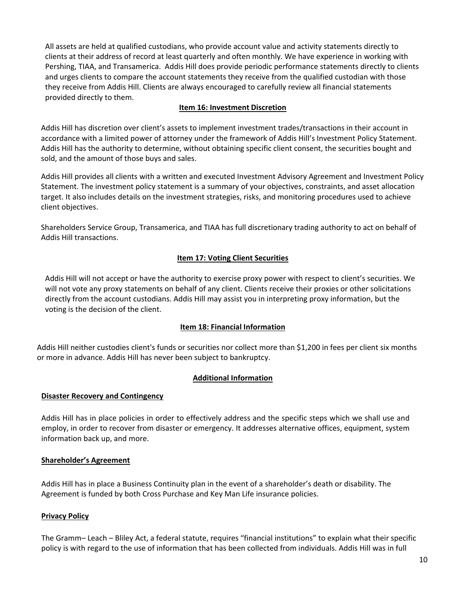All assets are held at qualified custodians, who provide account value and activity statements directly to clients at their address of record at least quarterly and often monthly. We have experience in working with Pershing, TIAA, and Transamerica. Addis Hill does provide periodic performance statements directly to clients and urges clients to compare the account statements they receive from the qualified custodian with those they receive from Addis Hill. Clients are always encouraged to carefully review all financial statements provided directly to them.

## **Item 16: Investment Discretion**

Addis Hill has discretion over client's assets to implement investment trades/transactions in their account in accordance with a limited power of attorney under the framework of Addis Hill's Investment Policy Statement. Addis Hill has the authority to determine, without obtaining specific client consent, the securities bought and sold, and the amount of those buys and sales.

Addis Hill provides all clients with a written and executed Investment Advisory Agreement and Investment Policy Statement. The investment policy statement is a summary of your objectives, constraints, and asset allocation target. It also includes details on the investment strategies, risks, and monitoring procedures used to achieve client objectives.

Shareholders Service Group, Transamerica, and TIAA has full discretionary trading authority to act on behalf of Addis Hill transactions.

## **Item 17: Voting Client Securities**

Addis Hill will not accept or have the authority to exercise proxy power with respect to client's securities. We will not vote any proxy statements on behalf of any client. Clients receive their proxies or other solicitations directly from the account custodians. Addis Hill may assist you in interpreting proxy information, but the voting is the decision of the client.

## **Item 18: Financial Information**

Addis Hill neither custodies client's funds or securities nor collect more than \$1,200 in fees per client six months or more in advance. Addis Hill has never been subject to bankruptcy.

## **Additional Information**

## **Disaster Recovery and Contingency**

Addis Hill has in place policies in order to effectively address and the specific steps which we shall use and employ, in order to recover from disaster or emergency. It addresses alternative offices, equipment, system information back up, and more.

## **Shareholder's Agreement**

Addis Hill has in place a Business Continuity plan in the event of a shareholder's death or disability. The Agreement is funded by both Cross Purchase and Key Man Life insurance policies.

## **Privacy Policy**

The Gramm– Leach – Bliley Act, a federal statute, requires "financial institutions" to explain what their specific policy is with regard to the use of information that has been collected from individuals. Addis Hill was in full